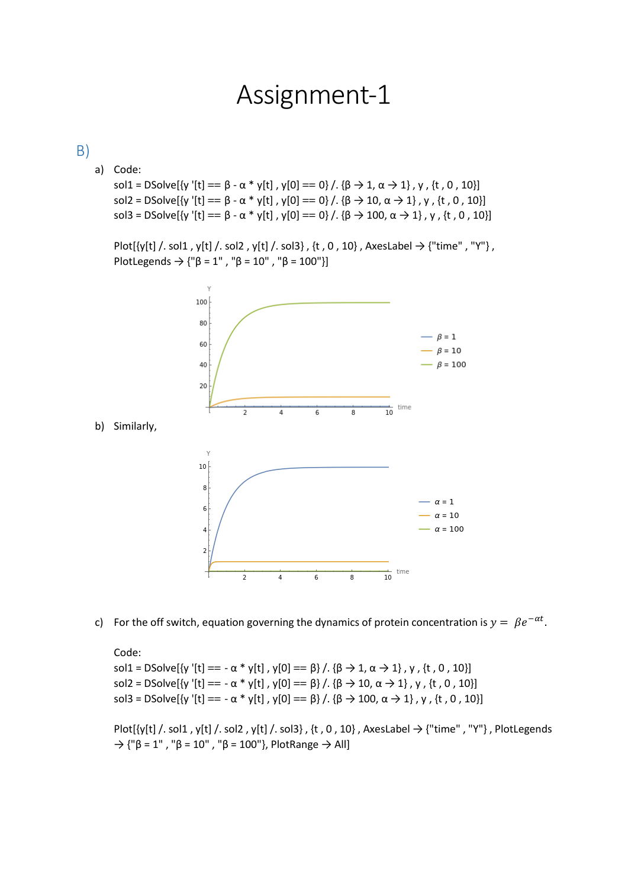## Assignment-1

## B)

a) Code:

sol1 = DSolve[{y '[t] ==  $\beta$  -  $\alpha$  \* y[t], y[0] == 0} /. { $\beta$   $\rightarrow$  1,  $\alpha$   $\rightarrow$  1}, y, {t, 0, 10}] sol2 = DSolve[{y '[t] ==  $\beta$  -  $\alpha$  \* y[t] , y[0] == 0} /. { $\beta \rightarrow 10$ ,  $\alpha \rightarrow 1$ }, y, {t, 0, 10}] sol3 = DSolve[{y '[t] ==  $\beta$  -  $\alpha$  \* y[t], y[0] == 0} /. { $\beta$   $\rightarrow$  100,  $\alpha$   $\rightarrow$  1}, y, {t, 0, 10}]

Plot[{y[t] /. sol1 , y[t] /. sol2 , y[t] /. sol3} , {t , 0 , 10} , AxesLabel  $\rightarrow$  {"time" , "Y"} , PlotLegends  $\rightarrow$  {"β = 1", "β = 10", "β = 100"}]



c) For the off switch, equation governing the dynamics of protein concentration is  $y = \beta e^{-\alpha t}$ .

Code: sol1 = DSolve[{y '[t] == -  $\alpha * y[t]$ ,  $y[0] == \beta$ } /. { $\beta \rightarrow 1$ ,  $\alpha \rightarrow 1$ },  $y$ , {t, 0, 10}] sol2 = DSolve[{y '[t] == -  $\alpha * y[t]$ ,  $y[0] = \beta$ } /. { $\beta \to 10$ ,  $\alpha \to 1$ }, y, {t, 0, 10}] sol3 = DSolve[{y '[t] == -  $\alpha * y[t]$ ,  $y[0] = = \beta$ } /. { $\beta \to 100$ ,  $\alpha \to 1$ }, y, {t, 0, 10}]

Plot $[\{y[t]$  /. sol1 , y[t] /. sol2 , y[t] /. sol3} , {t , 0 , 10} , AxesLabel  $\rightarrow$  {"time" , "Y"} , PlotLegends  $\rightarrow$  {"β = 1", "β = 10", "β = 100"}, PlotRange  $\rightarrow$  All]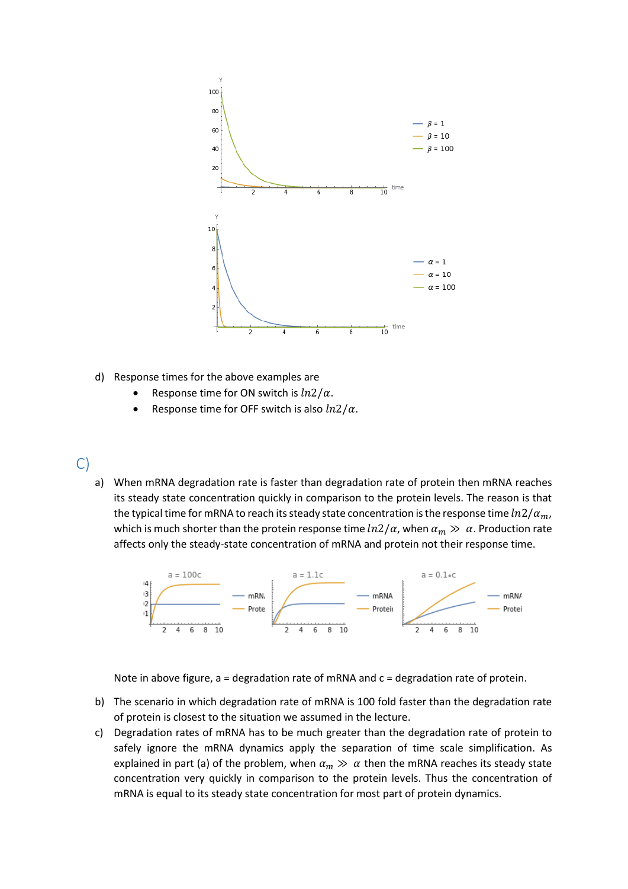

- d) Response times for the above examples are
	- Response time for ON switch is  $ln2/\alpha$ .
	- Response time for OFF switch is also  $ln2/\alpha$ .

## C)

a) When mRNA degradation rate is faster than degradation rate of protein then mRNA reaches its steady state concentration quickly in comparison to the protein levels. The reason is that the typical time for mRNA to reach its steady state concentration is the response time  $ln2/\alpha_m$ , which is much shorter than the protein response time  $ln2/\alpha$ , when  $\alpha_m \gg \alpha$ . Production rate affects only the steady-state concentration of mRNA and protein not their response time.



Note in above figure, a = degradation rate of mRNA and c = degradation rate of protein.

- b) The scenario in which degradation rate of mRNA is 100 fold faster than the degradation rate of protein is closest to the situation we assumed in the lecture.
- c) Degradation rates of mRNA has to be much greater than the degradation rate of protein to safely ignore the mRNA dynamics apply the separation of time scale simplification. As explained in part (a) of the problem, when  $\alpha_m \gg \alpha$  then the mRNA reaches its steady state concentration very quickly in comparison to the protein levels. Thus the concentration of mRNA is equal to its steady state concentration for most part of protein dynamics.